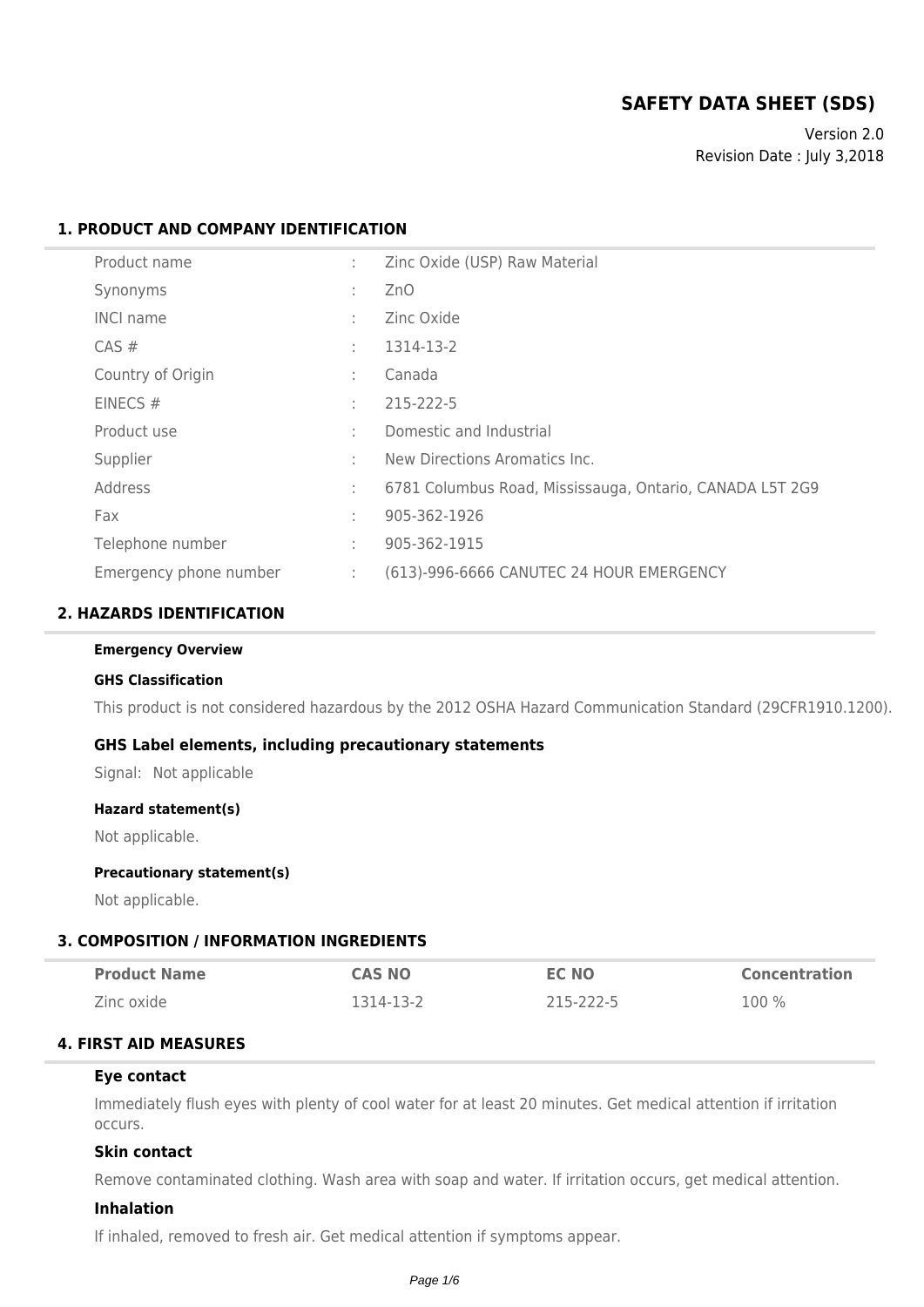# **SAFETY DATA SHEET (SDS)**

Version 2.0 Revision Date : July 3,2018

### **1. PRODUCT AND COMPANY IDENTIFICATION**

| Product name           | ÷ | Zinc Oxide (USP) Raw Material                            |
|------------------------|---|----------------------------------------------------------|
| Synonyms               | ÷ | ZnO                                                      |
| <b>INCI name</b>       | ÷ | Zinc Oxide                                               |
| CAS#                   | ÷ | 1314-13-2                                                |
| Country of Origin      | ÷ | Canada                                                   |
| EINECS $#$             | ÷ | 215-222-5                                                |
| Product use            | ÷ | Domestic and Industrial                                  |
| Supplier               | ÷ | New Directions Aromatics Inc.                            |
| Address                | ÷ | 6781 Columbus Road, Mississauga, Ontario, CANADA L5T 2G9 |
| Fax                    | ÷ | 905-362-1926                                             |
| Telephone number       | ÷ | 905-362-1915                                             |
| Emergency phone number | ÷ | (613)-996-6666 CANUTEC 24 HOUR EMERGENCY                 |

### **2. HAZARDS IDENTIFICATION**

#### **Emergency Overview**

#### **GHS Classification**

This product is not considered hazardous by the 2012 OSHA Hazard Communication Standard (29CFR1910.1200).

### **GHS Label elements, including precautionary statements**

Signal: Not applicable

#### **Hazard statement(s)**

Not applicable.

#### **Precautionary statement(s)**

Not applicable.

### **3. COMPOSITION / INFORMATION INGREDIENTS**

| <b>Product Name</b> | <b>CAS NO</b> | <b>EC NO</b> | <b>Concentration</b> |
|---------------------|---------------|--------------|----------------------|
| Zinc oxide          | 1314-13-2     | 215-222-5    | $100\%$              |

### **4. FIRST AID MEASURES**

#### **Eye contact**

Immediately flush eyes with plenty of cool water for at least 20 minutes. Get medical attention if irritation occurs.

## **Skin contact**

Remove contaminated clothing. Wash area with soap and water. If irritation occurs, get medical attention.

#### **Inhalation**

If inhaled, removed to fresh air. Get medical attention if symptoms appear.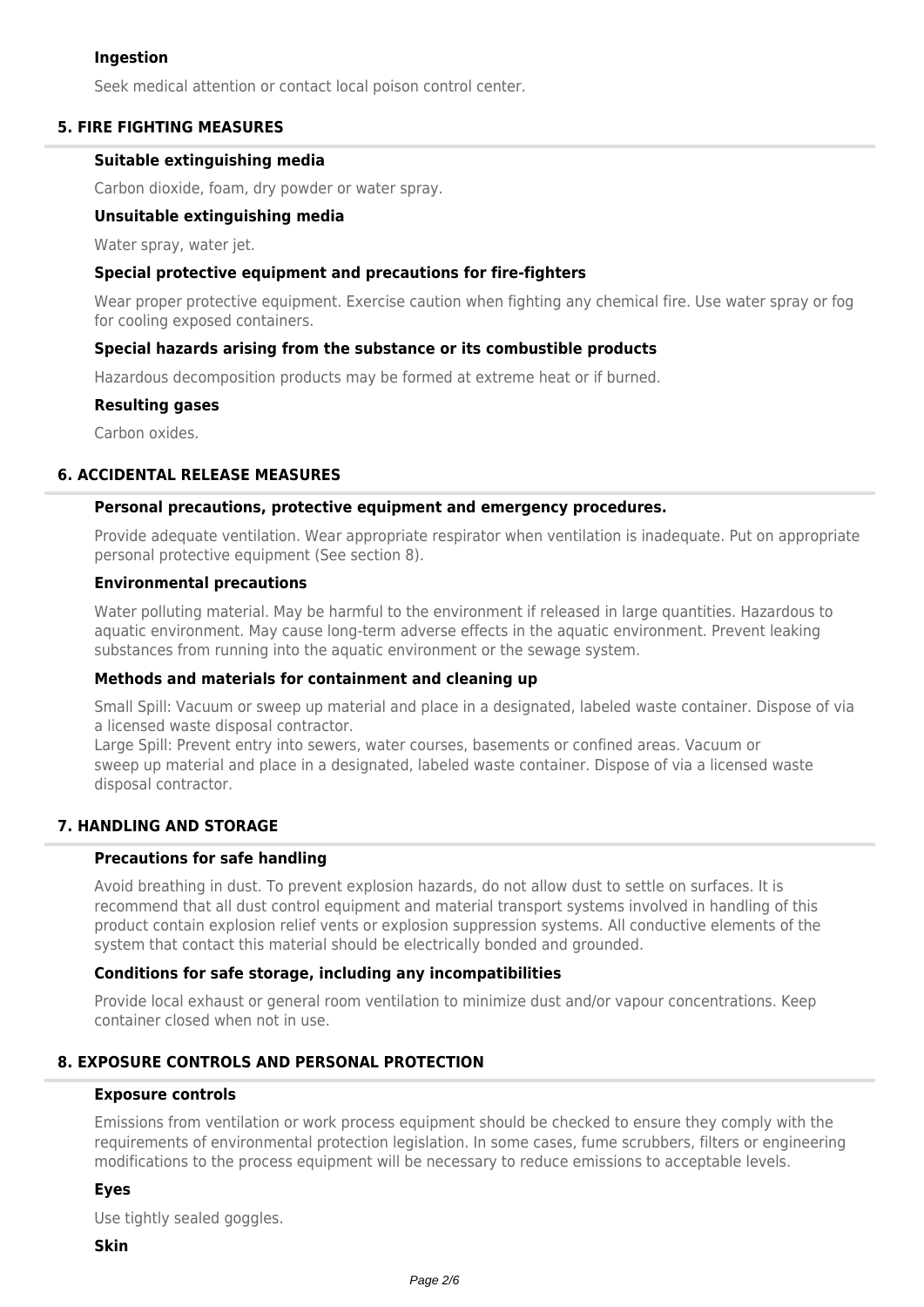### **Ingestion**

Seek medical attention or contact local poison control center.

### **5. FIRE FIGHTING MEASURES**

### **Suitable extinguishing media**

Carbon dioxide, foam, dry powder or water spray.

#### **Unsuitable extinguishing media**

Water spray, water jet.

#### **Special protective equipment and precautions for fire-fighters**

Wear proper protective equipment. Exercise caution when fighting any chemical fire. Use water spray or fog for cooling exposed containers.

#### **Special hazards arising from the substance or its combustible products**

Hazardous decomposition products may be formed at extreme heat or if burned.

#### **Resulting gases**

Carbon oxides.

### **6. ACCIDENTAL RELEASE MEASURES**

#### **Personal precautions, protective equipment and emergency procedures.**

Provide adequate ventilation. Wear appropriate respirator when ventilation is inadequate. Put on appropriate personal protective equipment (See section 8).

#### **Environmental precautions**

Water polluting material. May be harmful to the environment if released in large quantities. Hazardous to aquatic environment. May cause long-term adverse effects in the aquatic environment. Prevent leaking substances from running into the aquatic environment or the sewage system.

### **Methods and materials for containment and cleaning up**

Small Spill: Vacuum or sweep up material and place in a designated, labeled waste container. Dispose of via a licensed waste disposal contractor.

Large Spill: Prevent entry into sewers, water courses, basements or confined areas. Vacuum or sweep up material and place in a designated, labeled waste container. Dispose of via a licensed waste disposal contractor.

## **7. HANDLING AND STORAGE**

### **Precautions for safe handling**

Avoid breathing in dust. To prevent explosion hazards, do not allow dust to settle on surfaces. It is recommend that all dust control equipment and material transport systems involved in handling of this product contain explosion relief vents or explosion suppression systems. All conductive elements of the system that contact this material should be electrically bonded and grounded.

### **Conditions for safe storage, including any incompatibilities**

Provide local exhaust or general room ventilation to minimize dust and/or vapour concentrations. Keep container closed when not in use.

## **8. EXPOSURE CONTROLS AND PERSONAL PROTECTION**

#### **Exposure controls**

Emissions from ventilation or work process equipment should be checked to ensure they comply with the requirements of environmental protection legislation. In some cases, fume scrubbers, filters or engineering modifications to the process equipment will be necessary to reduce emissions to acceptable levels.

### **Eyes**

Use tightly sealed goggles.

#### **Skin**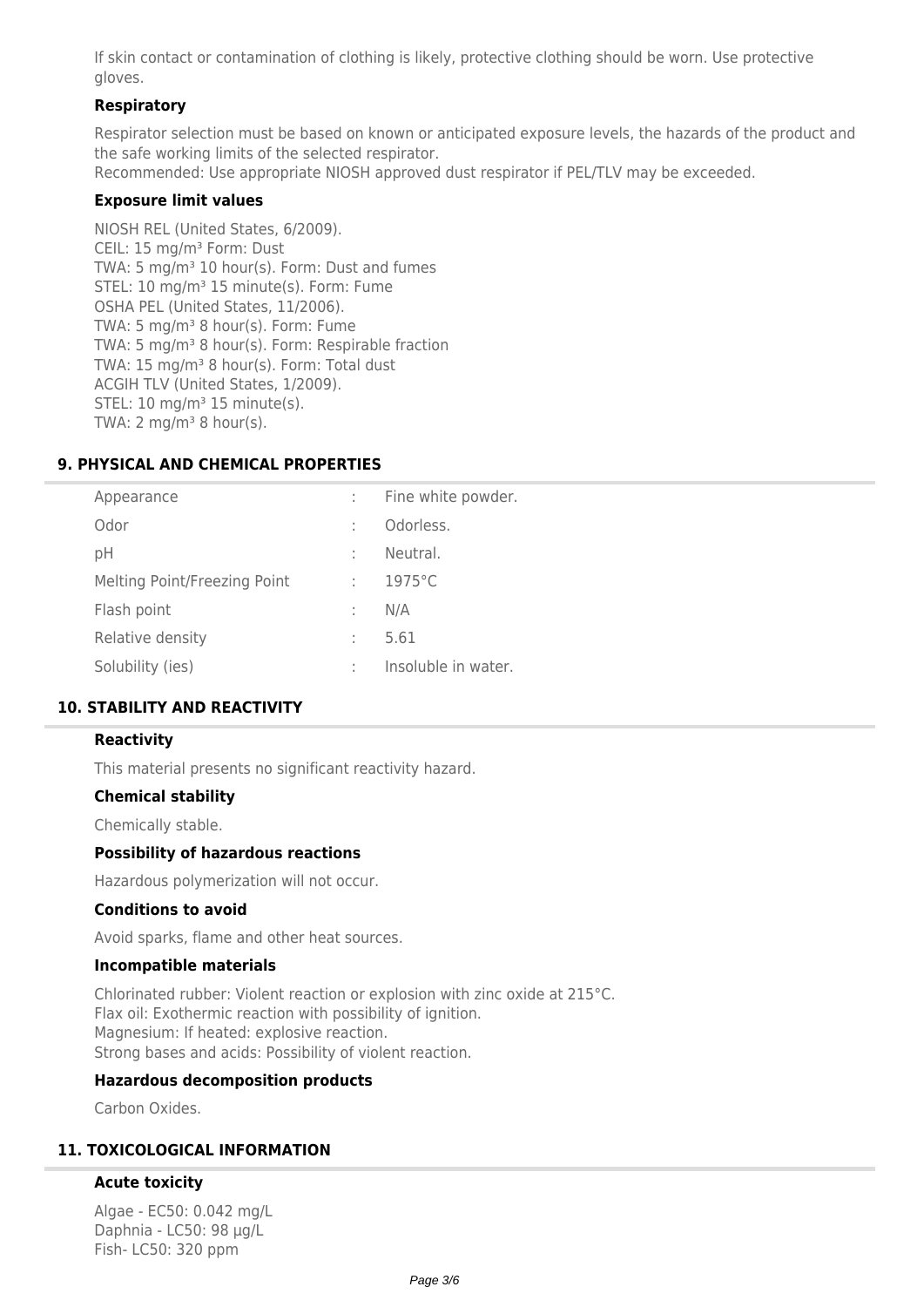If skin contact or contamination of clothing is likely, protective clothing should be worn. Use protective gloves.

## **Respiratory**

Respirator selection must be based on known or anticipated exposure levels, the hazards of the product and the safe working limits of the selected respirator.

Recommended: Use appropriate NIOSH approved dust respirator if PEL/TLV may be exceeded.

### **Exposure limit values**

NIOSH REL (United States, 6/2009). CEIL: 15 mg/m<sup>3</sup> Form: Dust TWA: 5 mg/m<sup>3</sup> 10 hour(s). Form: Dust and fumes STEL: 10 mg/m<sup>3</sup> 15 minute(s). Form: Fume OSHA PEL (United States, 11/2006). TWA: 5 mg/m<sup>3</sup> 8 hour(s). Form: Fume TWA: 5 mg/m<sup>3</sup> 8 hour(s). Form: Respirable fraction TWA: 15 mg/m<sup>3</sup> 8 hour(s). Form: Total dust ACGIH TLV (United States, 1/2009). STEL:  $10 \text{ mg/m}^3$  15 minute(s). TWA: 2 mg/m $3$  8 hour(s).

### **9. PHYSICAL AND CHEMICAL PROPERTIES**

| Appearance                   | ÷ | Fine white powder.  |
|------------------------------|---|---------------------|
| Odor                         | ÷ | Odorless.           |
| рH                           | ÷ | Neutral.            |
| Melting Point/Freezing Point | ÷ | $1975^{\circ}$ C    |
| Flash point                  | t | N/A                 |
| Relative density             | ÷ | 5.61                |
| Solubility (ies)             | ÷ | Insoluble in water. |
|                              |   |                     |

### **10. STABILITY AND REACTIVITY**

### **Reactivity**

This material presents no significant reactivity hazard.

### **Chemical stability**

Chemically stable.

### **Possibility of hazardous reactions**

Hazardous polymerization will not occur.

#### **Conditions to avoid**

Avoid sparks, flame and other heat sources.

#### **Incompatible materials**

Chlorinated rubber: Violent reaction or explosion with zinc oxide at 215°C. Flax oil: Exothermic reaction with possibility of ignition. Magnesium: If heated: explosive reaction. Strong bases and acids: Possibility of violent reaction.

### **Hazardous decomposition products**

Carbon Oxides

### **11. TOXICOLOGICAL INFORMATION**

### **Acute toxicity**

Algae - EC50: 0.042 mg/L Daphnia - LC50: 98 µg/L Fish- LC50: 320 ppm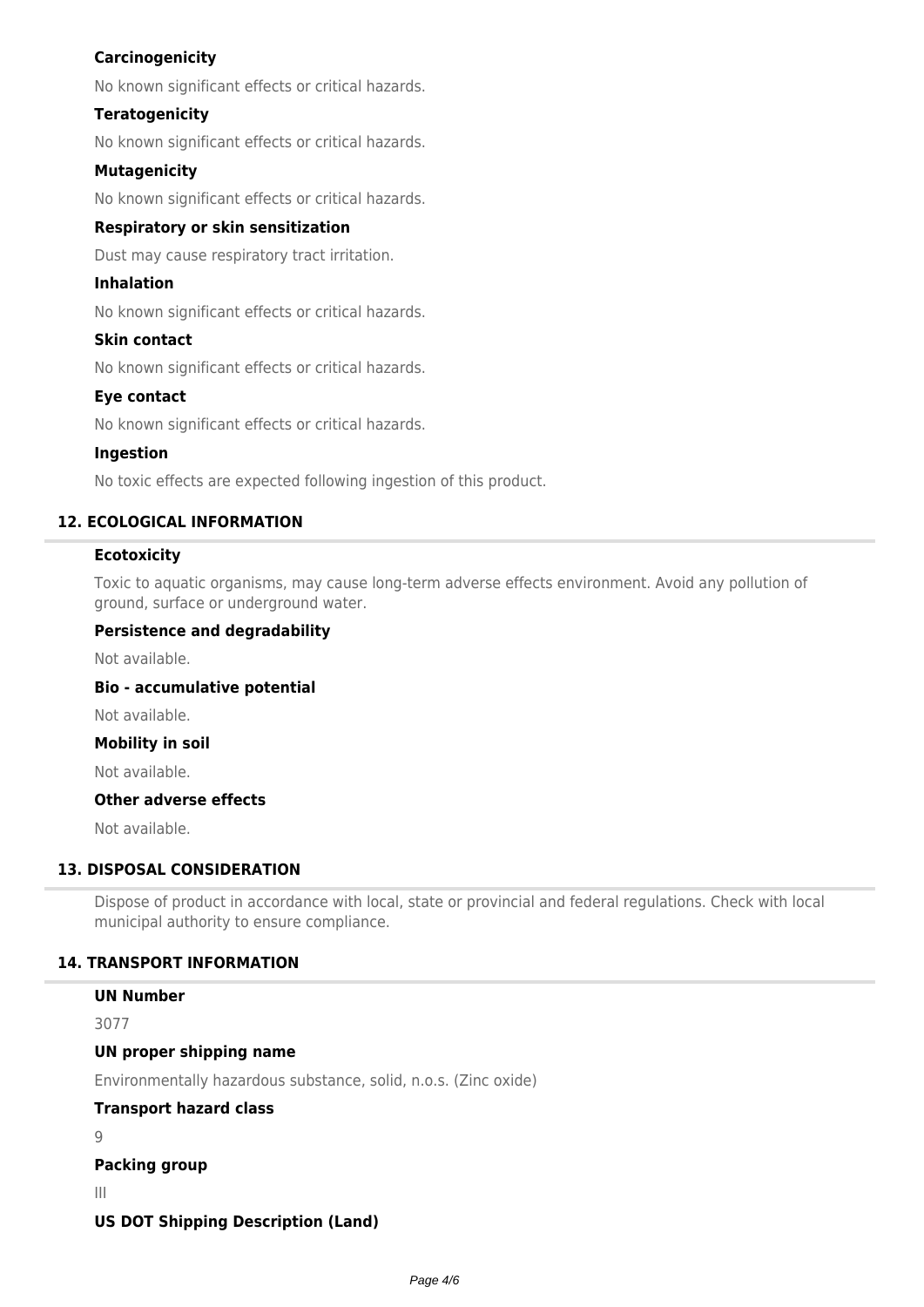## **Carcinogenicity**

No known significant effects or critical hazards.

### **Teratogenicity**

No known significant effects or critical hazards.

### **Mutagenicity**

No known significant effects or critical hazards.

### **Respiratory or skin sensitization**

Dust may cause respiratory tract irritation.

### **Inhalation**

No known significant effects or critical hazards.

### **Skin contact**

No known significant effects or critical hazards.

### **Eye contact**

No known significant effects or critical hazards.

### **Ingestion**

No toxic effects are expected following ingestion of this product.

## **12. ECOLOGICAL INFORMATION**

### **Ecotoxicity**

Toxic to aquatic organisms, may cause long-term adverse effects environment. Avoid any pollution of ground, surface or underground water.

### **Persistence and degradability**

Not available.

**Bio - accumulative potential**

Not available.

### **Mobility in soil**

Not available.

### **Other adverse effects**

Not available.

**UN Number**

## **13. DISPOSAL CONSIDERATION**

Dispose of product in accordance with local, state or provincial and federal regulations. Check with local municipal authority to ensure compliance.

### **14. TRANSPORT INFORMATION**

| <u>UN NUMBER</u>                                                |
|-----------------------------------------------------------------|
| 3077                                                            |
| UN proper shipping name                                         |
| Environmentally hazardous substance, solid, n.o.s. (Zinc oxide) |
| <b>Transport hazard class</b>                                   |
|                                                                 |
| <b>Packing group</b>                                            |
| Ш                                                               |

## **US DOT Shipping Description (Land)**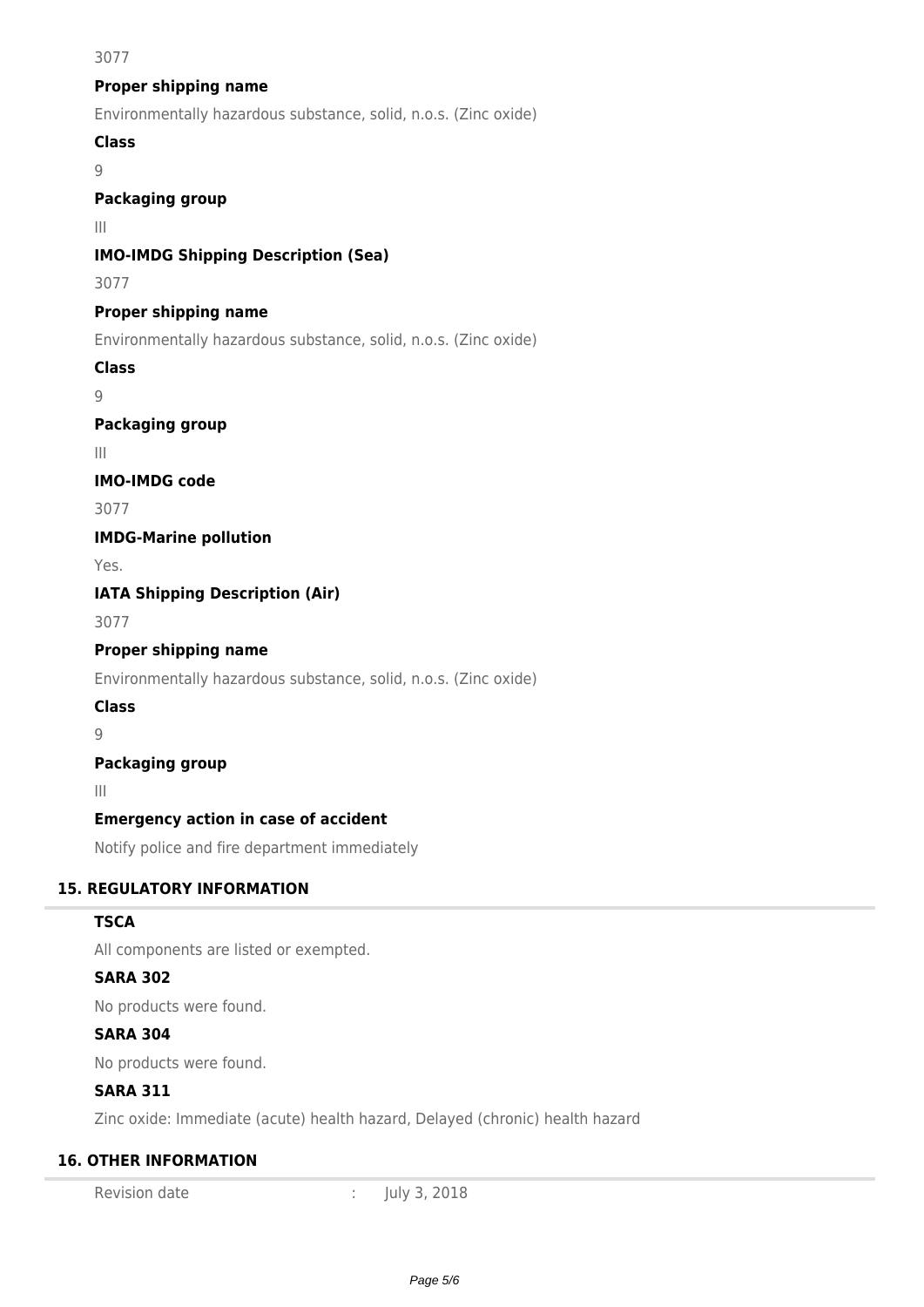### 3077

## **Proper shipping name**

Environmentally hazardous substance, solid, n.o.s. (Zinc oxide)

## **Class**

 $\overline{Q}$ 

## **Packaging group**

III

## **IMO-IMDG Shipping Description (Sea)**

3077

## **Proper shipping name**

Environmentally hazardous substance, solid, n.o.s. (Zinc oxide)

## **Class**

 $\overline{Q}$ 

## **Packaging group**

III

## **IMO-IMDG code**

3077

**IMDG-Marine pollution**

Yes.

**IATA Shipping Description (Air)**

3077

## **Proper shipping name**

Environmentally hazardous substance, solid, n.o.s. (Zinc oxide)

## **Class**

9

## **Packaging group**

III

## **Emergency action in case of accident**

Notify police and fire department immediately

## **15. REGULATORY INFORMATION**

## **TSCA**

All components are listed or exempted.

## **SARA 302**

No products were found.

## **SARA 304**

No products were found.

## **SARA 311**

Zinc oxide: Immediate (acute) health hazard, Delayed (chronic) health hazard

## **16. OTHER INFORMATION**

Revision date : July 3, 2018